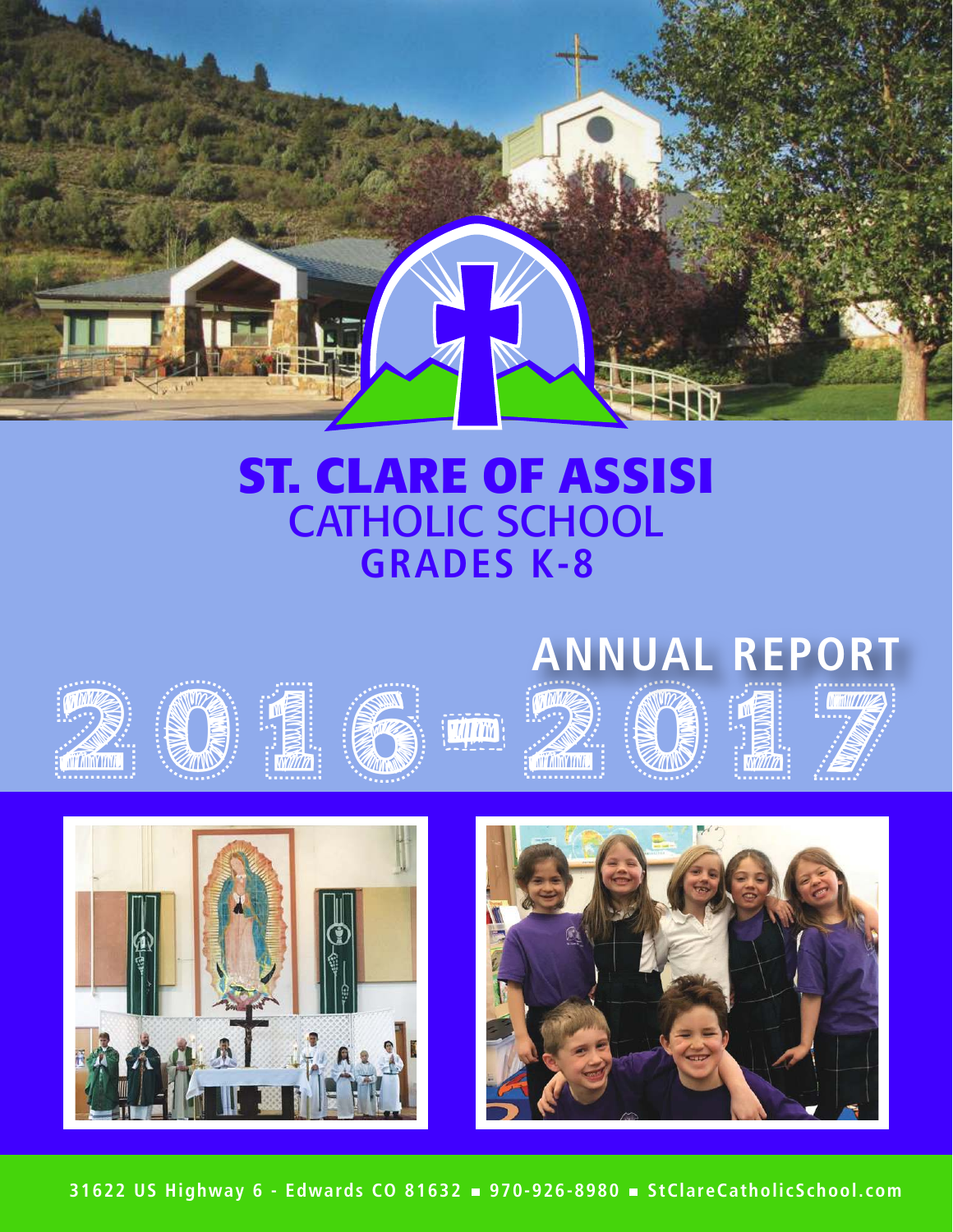

## **GRADES K-8 ST. CLARE OF ASSISI** CATHOLIC SCHOOL

# 2019-2017 **ANNUAL REPORT**



























**31622 US Highway 6 - Edwards CO 81632 970-926-8980 StClareCatholicSchool.com**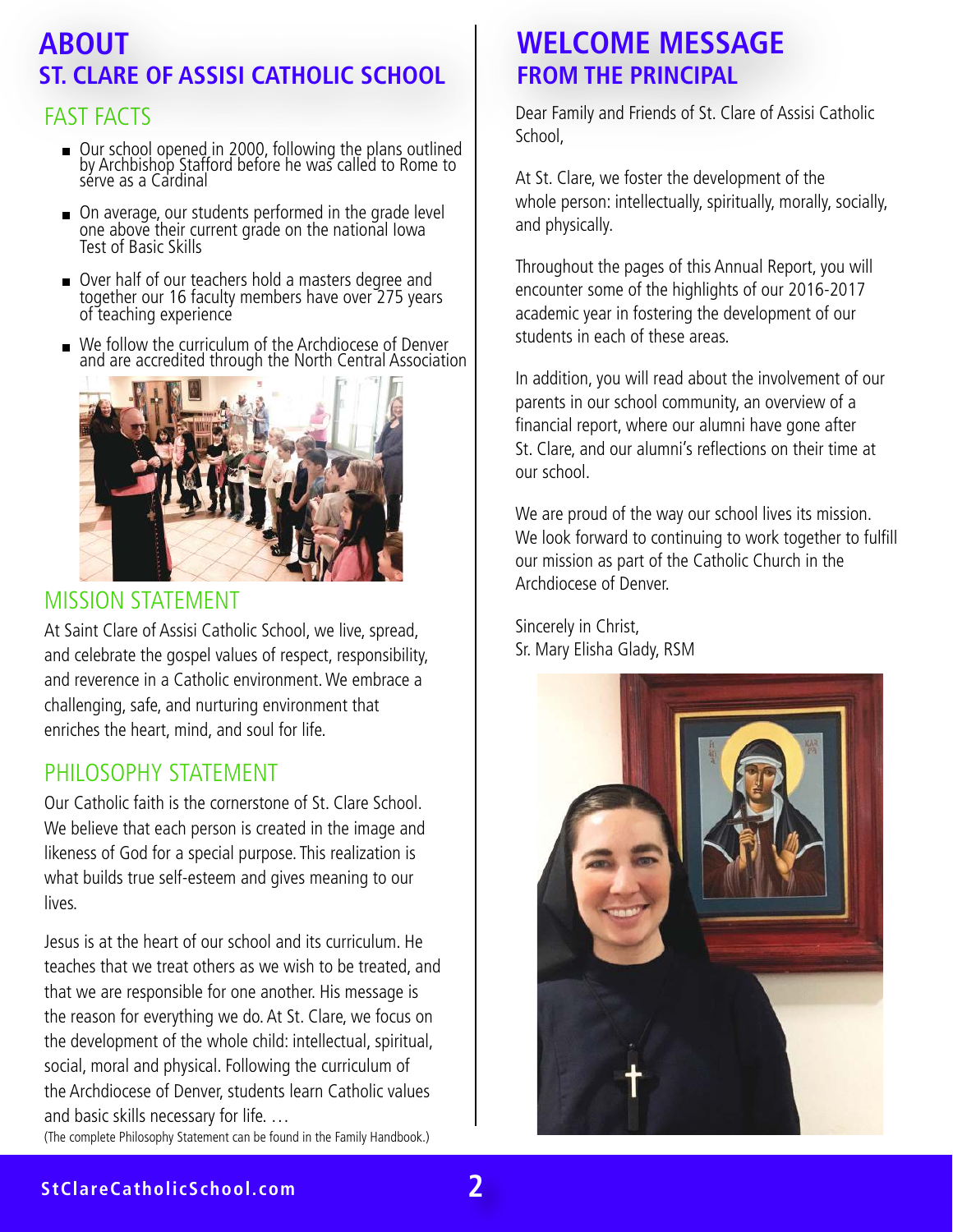## **ABOUT ST. CLARE OF ASSISI CATHOLIC SCHOOL**

## FAST FACTS

- Our school opened in 2000, following the plans outlined by Archbishop Stafford before he was called to Rome to sérve as a Cardinal
- On average, our students performed in the grade level one above their current grade on the national Iowa Test of Basic Skills
- Over half of our teachers hold a masters degree and together our 16 faculty members have over 275 years of teaching experience
- We follow the curriculum of the Archdiocese of Denver and are accredited through the North Central Association



#### MISSION STATEMENT

At Saint Clare of Assisi Catholic School, we live, spread, and celebrate the gospel values of respect, responsibility, and reverence in a Catholic environment. We embrace a challenging, safe, and nurturing environment that enriches the heart, mind, and soul for life.

#### PHILOSOPHY STATEMENT

Our Catholic faith is the cornerstone of St. Clare School. We believe that each person is created in the image and likeness of God for a special purpose. This realization is what builds true self-esteem and gives meaning to our lives.

Jesus is at the heart of our school and its curriculum. He teaches that we treat others as we wish to be treated, and that we are responsible for one another. His message is the reason for everything we do. At St. Clare, we focus on the development of the whole child: intellectual, spiritual, social, moral and physical. Following the curriculum of the Archdiocese of Denver, students learn Catholic values and basic skills necessary for life. …

(The complete Philosophy Statement can be found in the Family Handbook.)

## **WELCOME MESSAGE FROM THE PRINCIPAL**

Dear Family and Friends of St. Clare of Assisi Catholic School,

At St. Clare, we foster the development of the whole person: intellectually, spiritually, morally, socially, and physically.

Throughout the pages of this Annual Report, you will encounter some of the highlights of our 2016-2017 academic year in fostering the development of our students in each of these areas.

In addition, you will read about the involvement of our parents in our school community, an overview of a financial report, where our alumni have gone after St. Clare, and our alumni's reflections on their time at our school.

We are proud of the way our school lives its mission. We look forward to continuing to work together to fulfill our mission as part of the Catholic Church in the Archdiocese of Denver.

Sincerely in Christ, Sr. Mary Elisha Glady, RSM



#### **StClareCatholicSchool.com 2**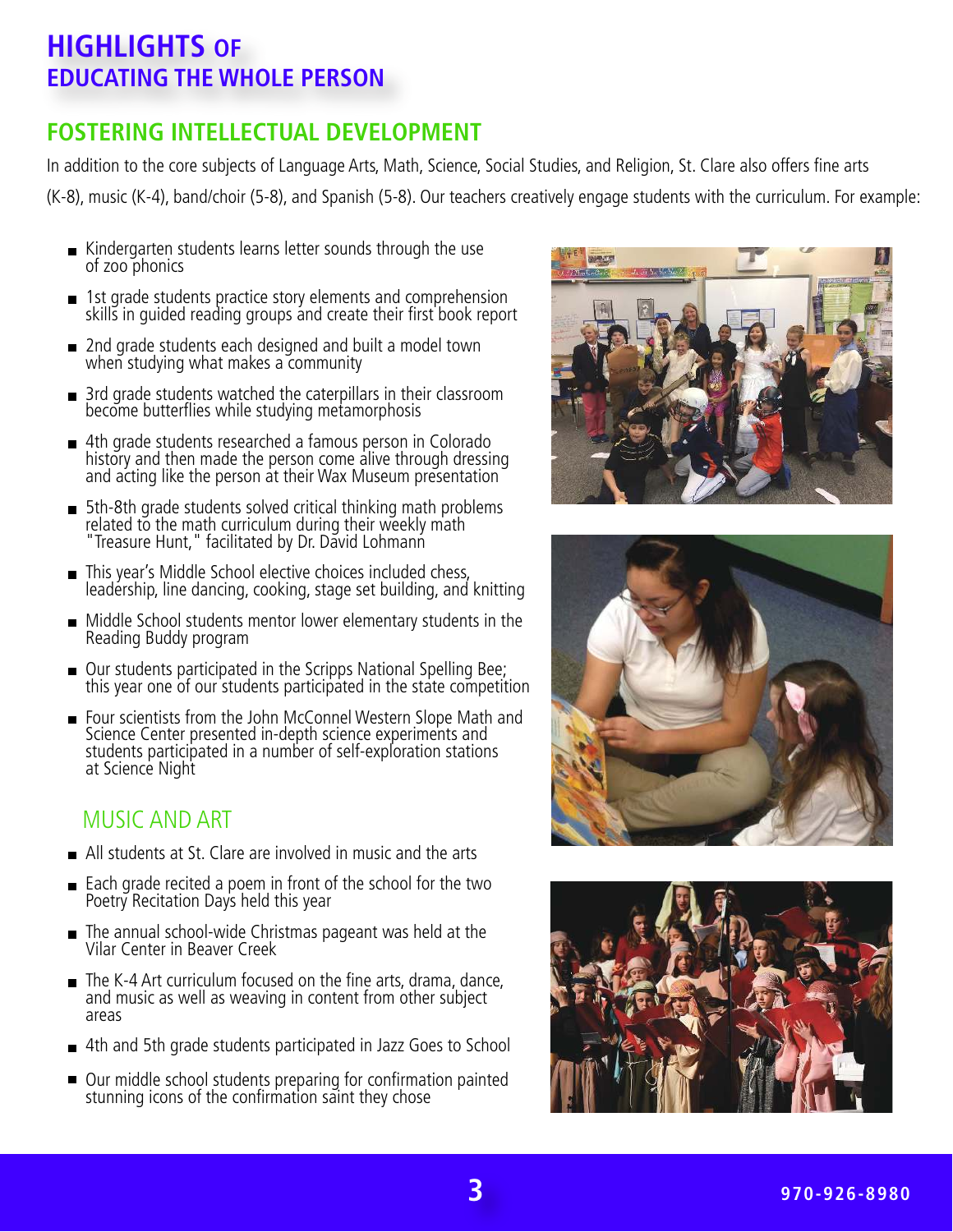## **HIGHLIGHTS OF EDUCATING THE WHOLE PERSON**

### **FOSTERING INTELLECTUAL DEVELOPMENT**

In addition to the core subjects of Language Arts, Math, Science, Social Studies, and Religion, St. Clare also offers fine arts (K-8), music (K-4), band/choir (5-8), and Spanish (5-8). Our teachers creatively engage students with the curriculum. For example:

- Kindergarten students learns letter sounds through the use of zoo phonics
- 1st grade students practice story elements and comprehension skills in guided reading groups and create their first book report
- 2nd grade students each designed and built a model town when studying what makes a community
- 3rd grade students watched the caterpillars in their classroom become butterflies while studying metamorphosis
- 4th grade students researched a famous person in Colorado history and then made the person come alive through dressing and acting like the person at their Wax Museum presentation
- 5th-8th grade students solved critical thinking math problems related to the math curriculum during their weekly math "Treasure Hunt," facilitated by Dr. David Lohmann
- This year's Middle School elective choices included chess, leadership, line dancing, cooking, stage set building, and knitting
- Middle School students mentor lower elementary students in the Reading Buddy program
- Our students participated in the Scripps National Spelling Bee; this year one of our students participated in the state competition
- Four scientists from the John McConnel Western Slope Math and Science Center presented in-depth science experiments and students participated in a number of self-exploration stations at Science Night

#### MUSIC AND ART

- All students at St. Clare are involved in music and the arts
- Each grade recited a poem in front of the school for the two Poetry Recitation Days held this year
- The annual school-wide Christmas pageant was held at the  $\blacksquare$ Vilar Center in Beaver Creek
- The K-4 Art curriculum focused on the fine arts, drama, dance, and music as well as weaving in content from other subject areas
- 4th and 5th grade students participated in Jazz Goes to School
- Our middle school students preparing for confirmation painted stunning icons of the confirmation saint they chose





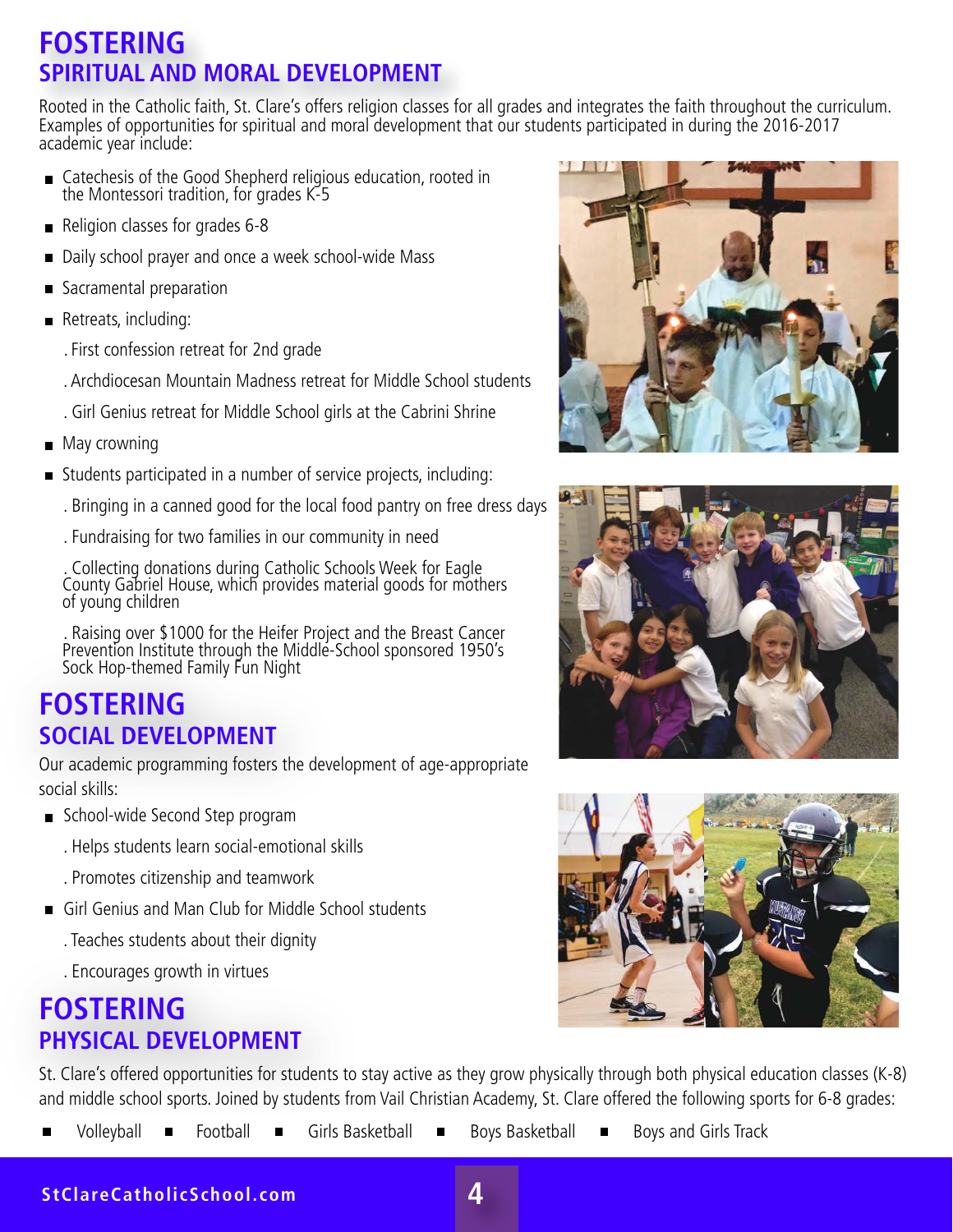## **FOSTERING SPIRITUAL AND MORAL DEVELOPMENT**

Rooted in the Catholic faith, St. Clare's offers religion classes for all grades and integrates the faith throughout the curriculum. Examples of opportunities for spiritual and moral development that our students participated in during the 2016-2017 academic year include:

- Catechesis of the Good Shepherd religious education, rooted in the Montessori tradition, for grades K-5
- Religion classes for grades 6-8  $\blacksquare$
- Daily school prayer and once a week school-wide Mass
- Sacramental preparation
- Retreats, including:
	- . First confession retreat for 2nd grade
	- . Archdiocesan Mountain Madness retreat for Middle School students
	- . Girl Genius retreat for Middle School girls at the Cabrini Shrine
- **May crowning**
- Students participated in a number of service projects, including:
	- . Bringing in a canned good for the local food pantry on free dress days
	- . Fundraising for two families in our community in need

 . Collecting donations during Catholic Schools Week for Eagle County Gabriel House, which provides material goods for mothers of young children

 . Raising over \$1000 for the Heifer Project and the Breast Cancer Prevention Institute through the Middle-School sponsored 1950's Sock Hop-themed Family Fun Night

## **FOSTERING SOCIAL DEVELOPMENT**

Our academic programming fosters the development of age-appropriate social skills:

- School-wide Second Step program
	- . Helps students learn social-emotional skills
	- . Promotes citizenship and teamwork
- Girl Genius and Man Club for Middle School students  $\begin{array}{c} \hline \end{array}$ 
	- . Teaches students about their dignity
	- . Encourages growth in virtues

## **FOSTERING PHYSICAL DEVELOPMENT**

St. Clare's offered opportunities for students to stay active as they grow physically through both physical education classes (K-8) and middle school sports. Joined by students from Vail Christian Academy, St. Clare offered the following sports for 6-8 grades:

Volleyball **E** Football Girls Basketball Boys Basketball Boys and Girls Track







**StClareCatholicSchool.com**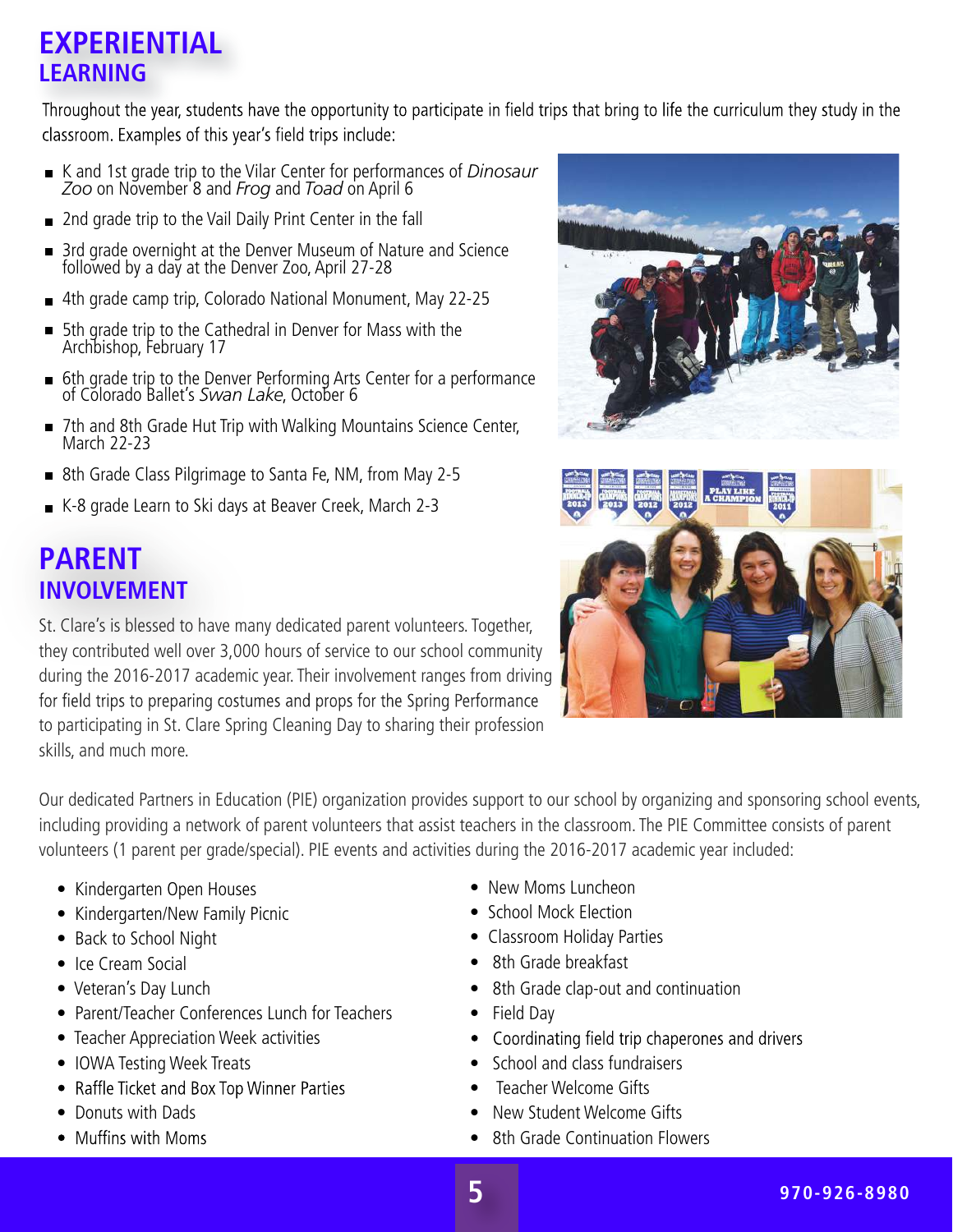## **EXPERIENTIAL LEARNING**

Throughout the year, students have the opportunity to participate in field trips that bring to life the curriculum they study in the classroom. Examples of this year's field trips include:

- K and 1st grade trip to the Vilar Center for performances of *Dinosaur Zoo* on November 8 and *Frog* and *Toad* on April 6
- 2nd grade trip to the Vail Daily Print Center in the fall
- 3rd grade overnight at the Denver Museum of Nature and Science followed by a day at the Denver Zoo, April 27-28
- 4th grade camp trip, Colorado National Monument, May 22-25  $\blacksquare$
- 5th grade trip to the Cathedral in Denver for Mass with the  $\blacksquare$ Archbishop, February 17
- 6th grade trip to the Denver Performing Arts Center for a performance of Colorado Ballet's *Swan Lake*, October 6
- 7th and 8th Grade Hut Trip with Walking Mountains Science Center, March 22-23
- 8th Grade Class Pilgrimage to Santa Fe, NM, from May 2-5
- K-8 grade Learn to Ski days at Beaver Creek, March 2-3

## **PARENT INVOLVEMENT**

St. Clare's is blessed to have many dedicated parent volunteers. Together, they contributed well over 3,000 hours of service to our school community during the 2016-2017 academic year. Their involvement ranges from driving for field trips to preparing costumes and props for the Spring Performance to participating in St. Clare Spring Cleaning Day to sharing their profession skills, and much more.





Our dedicated Partners in Education (PIE) organization provides support to our school by organizing and sponsoring school events, including providing a network of parent volunteers that assist teachers in the classroom. The PIE Committee consists of parent volunteers (1 parent per grade/special). PIE events and activities during the 2016-2017 academic year included:

- Kindergarten Open Houses
- Kindergarten/New Family Picnic
- Back to School Night
- Ice Cream Social
- Veteran's Day Lunch
- Parent/Teacher Conferences Lunch for Teachers
- Teacher Appreciation Week activities
- IOWA Testing Week Treats
- Raffle Ticket and Box Top Winner Parties
- Donuts with Dads
- Muffins with Moms
- New Moms Luncheon
- School Mock Election
- Classroom Holiday Parties
- 8th Grade breakfast
- 8th Grade clap-out and continuation
- Field Day
- Coordinating field trip chaperones and drivers
- School and class fundraisers
- Teacher Welcome Gifts
- New Student Welcome Gifts
- 8th Grade Continuation Flowers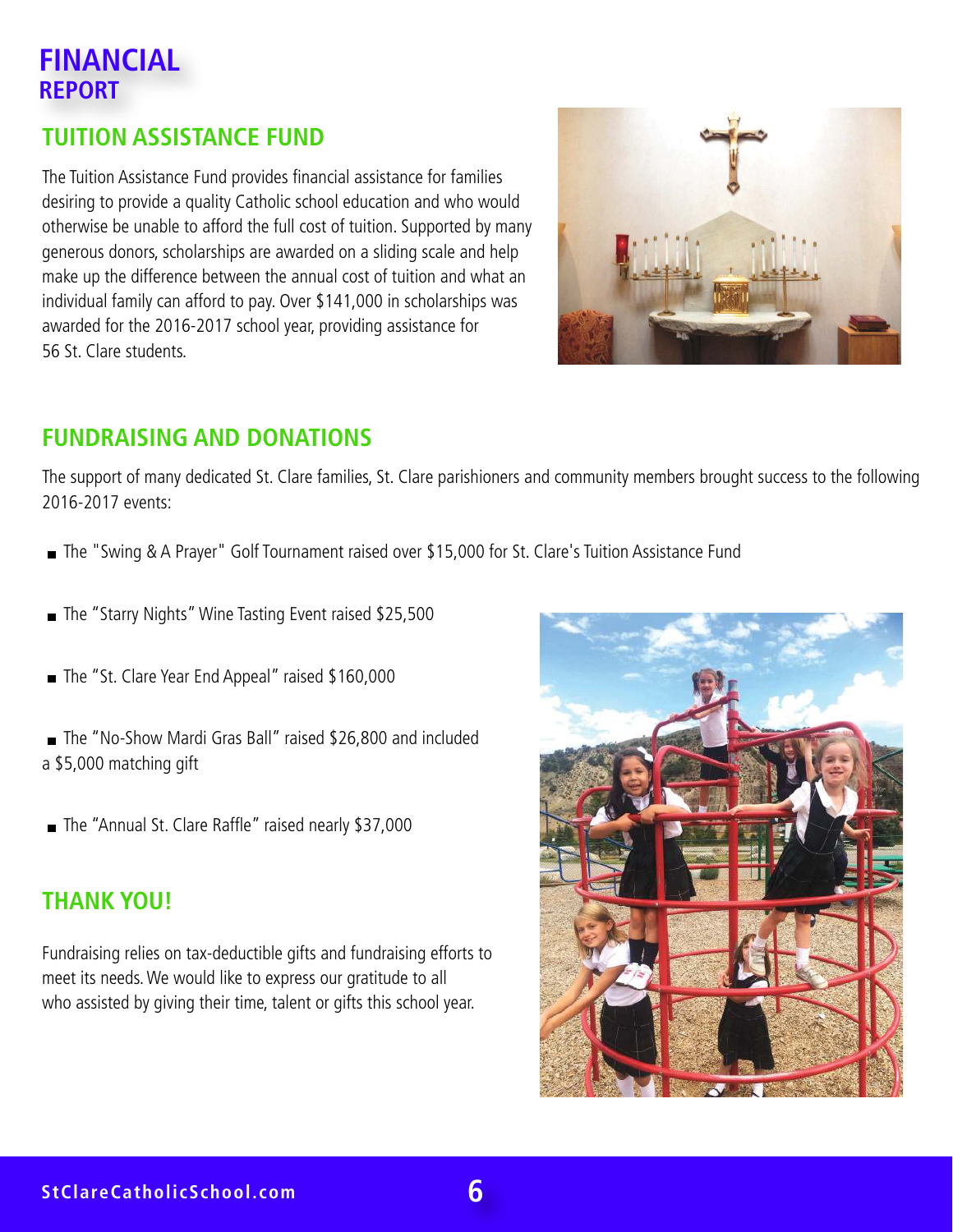## **FINANCIAL REPORT**

#### **TUITION ASSISTANCE FUND**

The Tuition Assistance Fund provides financial assistance for families desiring to provide a quality Catholic school education and who would otherwise be unable to afford the full cost of tuition. Supported by many generous donors, scholarships are awarded on a sliding scale and help make up the difference between the annual cost of tuition and what an individual family can afford to pay. Over \$141,000 in scholarships was awarded for the 2016-2017 school year, providing assistance for 56 St. Clare students.



#### **FUNDRAISING AND DONATIONS**

The support of many dedicated St. Clare families, St. Clare parishioners and community members brought success to the following 2016-2017 events:

- The "Swing & A Prayer" Golf Tournament raised over \$15,000 for St. Clare's Tuition Assistance Fund
- The "Starry Nights" Wine Tasting Event raised \$25,500
- The "St. Clare Year End Appeal" raised \$160,000
- The "No-Show Mardi Gras Ball" raised \$26,800 and included a \$5,000 matching gift
- The "Annual St. Clare Raffle" raised nearly \$37,000

#### **THANK YOU!**

Fundraising relies on tax-deductible gifts and fundraising efforts to meet its needs. We would like to express our gratitude to all who assisted by giving their time, talent or gifts this school year.

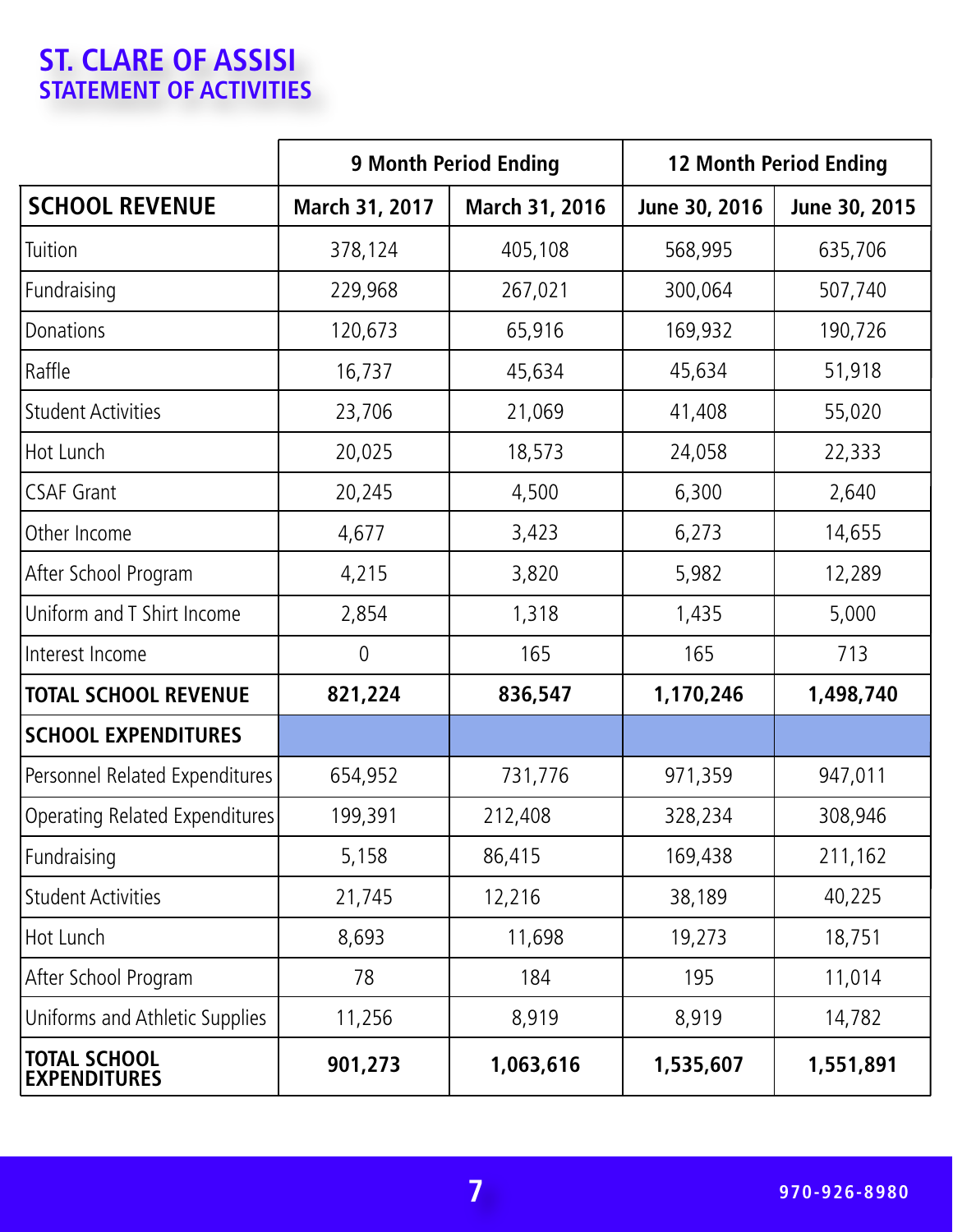## **ST. CLARE OF ASSISI STATEMENT OF ACTIVITIES**

|                                            | <b>9 Month Period Ending</b> |                | <b>12 Month Period Ending</b> |               |
|--------------------------------------------|------------------------------|----------------|-------------------------------|---------------|
| <b>SCHOOL REVENUE</b>                      | March 31, 2017               | March 31, 2016 | June 30, 2016                 | June 30, 2015 |
| Tuition                                    | 378,124                      | 405,108        | 568,995                       | 635,706       |
| Fundraising                                | 229,968                      | 267,021        | 300,064                       | 507,740       |
| Donations                                  | 120,673                      | 65,916         | 169,932                       | 190,726       |
| Raffle                                     | 16,737                       | 45,634         | 45,634                        | 51,918        |
| <b>Student Activities</b>                  | 23,706                       | 21,069         | 41,408                        | 55,020        |
| Hot Lunch                                  | 20,025                       | 18,573         | 24,058                        | 22,333        |
| <b>CSAF Grant</b>                          | 20,245                       | 4,500          | 6,300                         | 2,640         |
| Other Income                               | 4,677                        | 3,423          | 6,273                         | 14,655        |
| After School Program                       | 4,215                        | 3,820          | 5,982                         | 12,289        |
| Uniform and T Shirt Income                 | 2,854                        | 1,318          | 1,435                         | 5,000         |
| Interest Income                            | $\overline{0}$               | 165            | 165                           | 713           |
| <b>TOTAL SCHOOL REVENUE</b>                | 821,224                      | 836,547        | 1,170,246                     | 1,498,740     |
| <b>SCHOOL EXPENDITURES</b>                 |                              |                |                               |               |
| Personnel Related Expenditures             | 654,952                      | 731,776        | 971,359                       | 947,011       |
| Operating Related Expenditures             | 199,391                      | 212,408        | 328,234                       | 308,946       |
| Fundraising                                | 5,158                        | 86,415         | 169,438                       | 211,162       |
| <b>Student Activities</b>                  | 21,745                       | 12,216         | 38,189                        | 40,225        |
| Hot Lunch                                  | 8,693                        | 11,698         | 19,273                        | 18,751        |
| After School Program                       | 78                           | 184            | 195                           | 11,014        |
| Uniforms and Athletic Supplies             | 11,256                       | 8,919          | 8,919                         | 14,782        |
| <b>TOTAL SCHOOL</b><br><b>EXPENDITURES</b> | 901,273                      | 1,063,616      | 1,535,607                     | 1,551,891     |